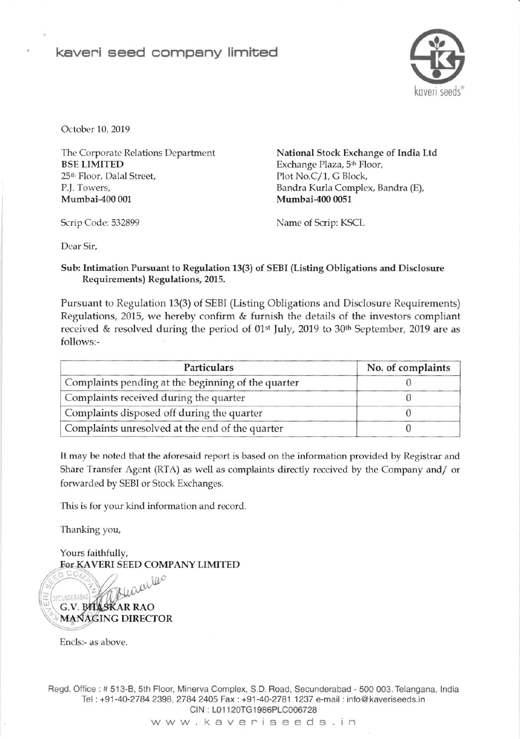

October 10, 2019

The Corporate Relations Department BSE LIMITED 25<sup>th</sup> Floor, Dalal Street, P.J. Towers, Mumbai-4oo 001

National Stock Exchange of lndia Ltd Exchange Plaza, 5<sup>th</sup> Floor, PIot No.C/1, G Block, Bandra Kurla Complex, Bandra (E), Mumbai-4oo 0051

Scrip Code: 532899 Name of Scrip: KSCL

Dear Sir,

## Sub: Intimation Pursuant to Regulation 13(3) of SEBI (Listing Obligations and Disclosure Requirements) Regulations, 2015.

Pursuant to Regulation 13(3) of SEBI (Listing Obligations and Disclosure Requirements) Regulations, 2015, we hereby confirm  $&$  furnish the details of the investors compliant received & resolved during the period of 01<sup>st</sup> July, 2019 to 30<sup>th</sup> September, 2019 are as follows:-

| Particulars                                        | No. of complaints |  |
|----------------------------------------------------|-------------------|--|
| Complaints pending at the beginning of the quarter |                   |  |
| Complaints received during the quarter             |                   |  |
| Complaints disposed off during the quarter         |                   |  |
| Complaints unresolved at the end of the quarter    |                   |  |

It may be noted that the aforesaid report is based on the information provided by Registrar and Share Transfer Agent (RTA) as well as complaints directly received by the Company and/ or forwarded by SEBI or Stock Exchanges.

This is for your kind information and record.

Thanking you,

Yours faithfully. FoT KAVERI SEED CoMPANY LIMITED

w leep CUNDERABAD G.V. BHASKAR RAO MANAGING DIRECTOR

Encls:- as above

Regd. Office : # 513-B, 5th Floor, Minerva Complex, S.D. Road, Secunderabad - 500 003. Telangana, India Tel : +91-40-2784 2398.2784 2405 Fax : +91-40-2781 1237 e-mail : info@ kaveriseeds.in CIN : 101 120TG 1986PLC006728

www kaveniseeds in